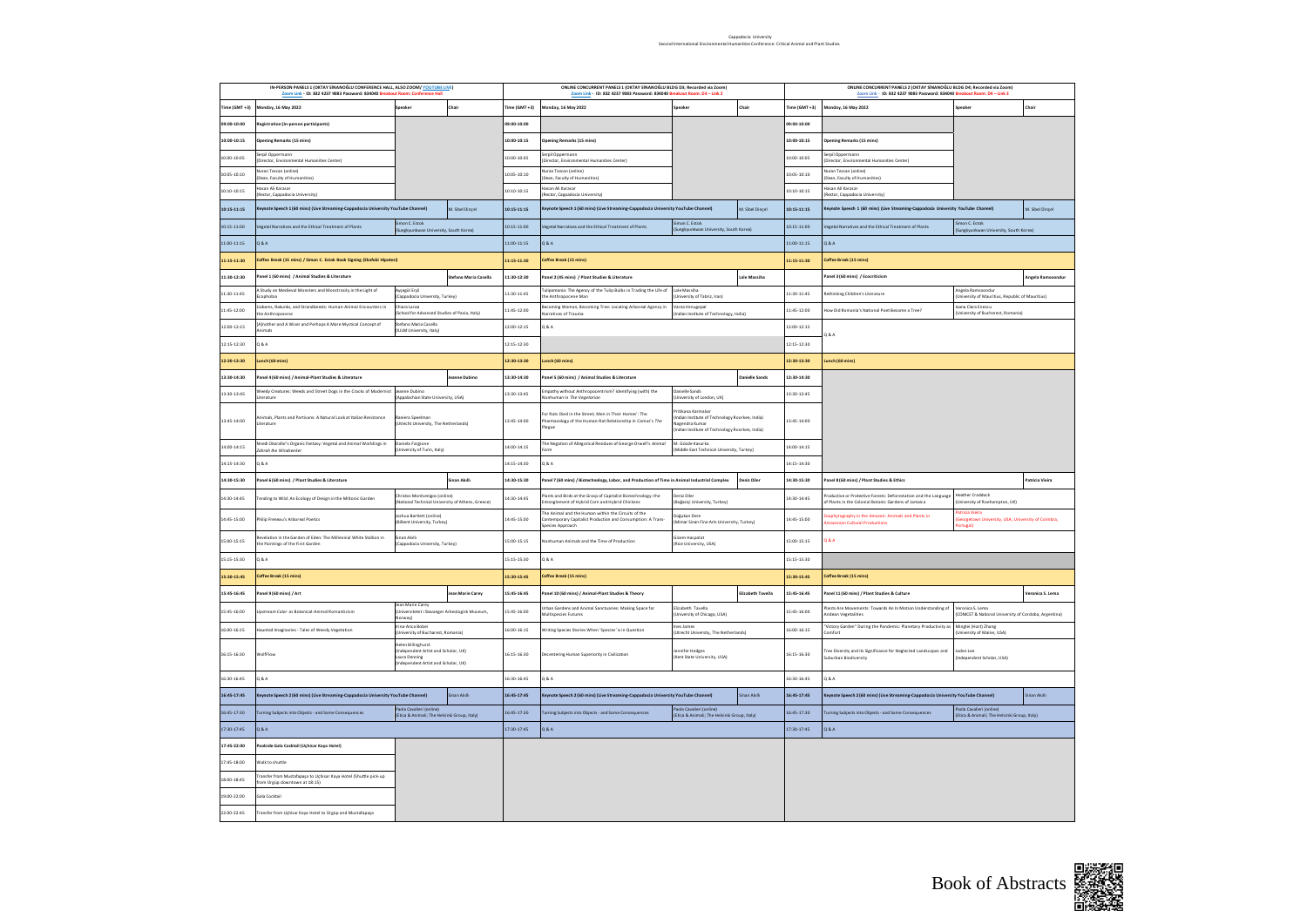| IN-PERSON PANELS 1 (OKTAY SİNANOĞLU CONFERENCE HALL, ALSO ZOOM/ YOUTUBE LIVE)<br>Zoom Link - ID: 832 4237 9083 Password: 834040 Breakout Ro<br>m: Cor<br>nce Hall |                                                                                                                                                        |                                                                                                            | ONLINE CONCURRENT PANELS 1 (OKTAY SİNANOĞLU BLDG D3; Recorded via Zoom)<br>Zoom Link - ID: 832 4237 9083 Password: 834040 Breakout Room: D3 - Link 2 |                                                                                                                                       |                                                                                                                                     |                   | ONLINE CONCURRENT PANELS 2 (OKTAY SÍNANOĞLU BLDG D4; Recorded via Zoom)<br>Zoom Link - ID: 832 4237 9083 Password: 834040 Breakout Room: D4 - Link 3 |                                                                                                                         |                                                                                       |                         |  |
|-------------------------------------------------------------------------------------------------------------------------------------------------------------------|--------------------------------------------------------------------------------------------------------------------------------------------------------|------------------------------------------------------------------------------------------------------------|------------------------------------------------------------------------------------------------------------------------------------------------------|---------------------------------------------------------------------------------------------------------------------------------------|-------------------------------------------------------------------------------------------------------------------------------------|-------------------|------------------------------------------------------------------------------------------------------------------------------------------------------|-------------------------------------------------------------------------------------------------------------------------|---------------------------------------------------------------------------------------|-------------------------|--|
| ime (GMT +3)                                                                                                                                                      | Monday, 16 May 2022                                                                                                                                    | ioeaker<br>Chair                                                                                           | $ime (GMT + 3)$                                                                                                                                      | londay, 16 May 2022                                                                                                                   | peaker                                                                                                                              | Chair             | Time (GMT+3)                                                                                                                                         | Monday, 16 May 2022                                                                                                     | ioeaker                                                                               | Chair                   |  |
| 09:00-10:00                                                                                                                                                       | Registration (In-person participants)                                                                                                                  |                                                                                                            | 09:00-10:00                                                                                                                                          |                                                                                                                                       |                                                                                                                                     |                   | 09:00-10:00                                                                                                                                          |                                                                                                                         |                                                                                       |                         |  |
| 10:00-10:15                                                                                                                                                       | <b>Opening Remarks (15 mins)</b>                                                                                                                       |                                                                                                            | 10:00-10:15                                                                                                                                          | <b>Opening Remarks (15 mins)</b>                                                                                                      |                                                                                                                                     |                   | 10:00-10:15                                                                                                                                          | Opening Remarks (15 mins)                                                                                               |                                                                                       |                         |  |
| $0:00 - 10:05$                                                                                                                                                    | erpil Oppermann<br>Director, Environmental Humanities Center)                                                                                          |                                                                                                            | 10:00-10:05                                                                                                                                          | erpil Oppermann<br>Director, Environmental Humanities Center)                                                                         |                                                                                                                                     |                   | 10:00-10:05                                                                                                                                          | erpil Oppermann<br>(Director, Environmental Humanities Center)                                                          |                                                                                       |                         |  |
| 10:05-10:10                                                                                                                                                       | <b>Nuran Tezcan (online)</b><br>Jean, Faculty of Humanities                                                                                            |                                                                                                            | 10:05-10:10                                                                                                                                          | Nuran Tezcan (online)<br>Jean, Faculty of Humanities)                                                                                 |                                                                                                                                     |                   | 10:05-10:10                                                                                                                                          | Nuran Tezcan (online)<br>Dean, Faculty of Humanities)                                                                   |                                                                                       |                         |  |
| 10:10-10:15                                                                                                                                                       | lasan Ali Karasar<br>Rector, Cappadocia University)                                                                                                    |                                                                                                            | 10:10-10:15                                                                                                                                          | lasan Ali Karasar<br>lector, Cappadocia University)                                                                                   |                                                                                                                                     |                   | 10:10-10:15                                                                                                                                          | lasan Ali Karasar<br>Rector, Cappadocia University)                                                                     |                                                                                       |                         |  |
| 10:15-11:15                                                                                                                                                       | (eynote Speech 1 (60 mins) (Live Streaming-Cappadocia University YouTube Channel)                                                                      | M. Sibel Dinçel                                                                                            | 10:15-11:15                                                                                                                                          | Keynote Speech 1 (60 mins) (Live Streaming-Cappadocia University YouTube Channel)                                                     |                                                                                                                                     | M. Sibel Dinçel   | 10:15-11:15                                                                                                                                          | Keynote Speech 1 (60 mins) (Live Streaming-Cappadocia University YouTube Channel)                                       |                                                                                       | M. Sibel Dinçel         |  |
| $10:15 \cdot 11:00$                                                                                                                                               | legetal Narratives and the Ethical Treatment of Plants                                                                                                 | mon C. Estok<br>ungkyunkwan University, South Korea)                                                       | $0:15 \cdot 11:00$                                                                                                                                   | egetal Narratives and the Ethical Treatment of Plants                                                                                 | mon C. Estok<br>iungkyunkwan University, South Korea)                                                                               |                   | 10:15-11:00                                                                                                                                          | egetal Narratives and the Ethical Treatment of Plants                                                                   | Sungkyunkwan University, South Korea)                                                 |                         |  |
| 11:00-11:15                                                                                                                                                       | <b>D.80</b>                                                                                                                                            |                                                                                                            | 11:00-11:15                                                                                                                                          | <b>D.S.O.</b>                                                                                                                         |                                                                                                                                     |                   |                                                                                                                                                      | <b>Q&amp;A</b>                                                                                                          |                                                                                       |                         |  |
| 11:15-11:30                                                                                                                                                       | Coffee Break (15 mins) / Simon C. Estok Book Signing (Ekofobi Hipotezi)                                                                                |                                                                                                            | 11:15-11:30                                                                                                                                          | Coffee Break (15 mins)                                                                                                                |                                                                                                                                     |                   | 11:15-11:30                                                                                                                                          | Coffee Break (15 mins)                                                                                                  |                                                                                       |                         |  |
| 11:30-12:30                                                                                                                                                       | anel 1 (60 mins) / Animal Studies & Literature                                                                                                         | tefano Maria Casella                                                                                       | 11:30-12:30                                                                                                                                          | anel 2 (45 mins) / Plant Studies & Literature                                                                                         |                                                                                                                                     | Lale Massiha      |                                                                                                                                                      | anel 3 (60 mins) / Ecocriticism                                                                                         |                                                                                       | <b>Angela Ramsoondu</b> |  |
| 11:30-11:45                                                                                                                                                       | A Study on Medieval Monsters and Monstrosity in the Light of<br>Ecophobia                                                                              | vsegül Erşil<br>sppadocia University, Turkey)                                                              | 11:30-11:45                                                                                                                                          | ulipomania: The Agency of the Tulip Bulbs in Trading the Life of<br>he Anthropocene Man                                               | Lale Massiha<br>Iniversity of Tabriz, Iran)                                                                                         |                   | 11:30-11:45                                                                                                                                          | ethinking Children's Literature                                                                                         | ngela Ramsoondur<br>University of Mauritius, Republic of Mauritius)                   |                         |  |
| 11:45-12:00                                                                                                                                                       | Jobams, Rakunks, and Strandbeests: Human-Animal Encounters in<br>he Anthropocene                                                                       | hiara Lanza<br>hool for Advanced Studies of Pavia, Italy)                                                  | 11:45-12:00                                                                                                                                          | ecoming Woman, Becoming Tree: Locating Arboreal Agency in<br>arratives of Trauma                                                      | Jarna Venugopal<br>dian Institute of Technology, India)                                                                             |                   | 11:45-12:00                                                                                                                                          | low Did Romania's National Poet Become a Tree?                                                                          | oana Clara Enescu<br>niversity of Bucharest, Romania)                                 |                         |  |
| 12:00:12:15                                                                                                                                                       | A]nother and A Wiser and Perhaps A More Mystical Concept of<br>.<br>almals                                                                             | itefano Maria Casella<br><b>IULM University, Italy</b>                                                     | 12:00-12:15                                                                                                                                          | 0.8 4                                                                                                                                 |                                                                                                                                     |                   | 12:00-12:15                                                                                                                                          | Q & A                                                                                                                   |                                                                                       |                         |  |
| 12:15-12:30                                                                                                                                                       | $A$ & $C$                                                                                                                                              |                                                                                                            |                                                                                                                                                      |                                                                                                                                       |                                                                                                                                     |                   | 12:15-12:30                                                                                                                                          |                                                                                                                         |                                                                                       |                         |  |
| 12:30-13:30                                                                                                                                                       | unch (60 mins)                                                                                                                                         |                                                                                                            |                                                                                                                                                      | unch (60 mins)                                                                                                                        |                                                                                                                                     |                   | 12:30-13:30                                                                                                                                          | unch (60 mins)                                                                                                          |                                                                                       |                         |  |
| 13:30-14:30                                                                                                                                                       | anel 4 (60 mins) / Animal-Plant Studies & Literature                                                                                                   | nne Dubinc                                                                                                 | 13:30-14:30                                                                                                                                          | anel 5 (60 mins) / Animal Studies & Literature                                                                                        |                                                                                                                                     | nielle Sands      | 13:30-14:30                                                                                                                                          |                                                                                                                         |                                                                                       |                         |  |
| 13:30-13:45                                                                                                                                                       | Weedy Creatures: Weeds and Street Dogs in the Cracks of Modernist<br>iterature                                                                         | eanne Dubino<br>ppalachian State University, USA)                                                          | 13:30-13:45                                                                                                                                          | mpathy without Anthropocentrism? Identifying (with) the<br>nhuman in The Vegetarian                                                   | anielle Sands<br>iversity of London, UK)                                                                                            |                   | 13:30-13:45                                                                                                                                          |                                                                                                                         |                                                                                       |                         |  |
| 13:45-14:00                                                                                                                                                       | Animals, Plants and Partisans: A Natural Look at Italian Resistance<br>Literature                                                                      | niero Speelman<br>Utrecht University, The Netherlands)                                                     | 13:45-14:00                                                                                                                                          | or Rats Died in the Street; Men in Their Homes': The<br>Pharmacology of the Human-Rat Relationship in Camus's The<br>lague            | ritikana Karmakar<br>ndian Institute of Technology Roorkee, India)<br>agendra Kumar<br>dian Institute of Technology Roorkee, India) |                   | 13:45-14:00                                                                                                                                          |                                                                                                                         |                                                                                       |                         |  |
| 14:00-14:15                                                                                                                                                       | Nnedi Okorafor's Organic Fantasy: Vegetal and Animal Worldings in<br><b>Zahrah the Windseeker</b>                                                      | 14:00-14:15                                                                                                | The Negation of Allegorical Residues of George Orwell's Animal<br>orm                                                                                | M. Gözde Kasurka<br>$14:00-14:15$<br>Middle East Technical University, Turkey)                                                        |                                                                                                                                     |                   |                                                                                                                                                      |                                                                                                                         |                                                                                       |                         |  |
| 4:15.14:30                                                                                                                                                        | 184                                                                                                                                                    |                                                                                                            |                                                                                                                                                      | 1&A                                                                                                                                   | 14:15-14:30                                                                                                                         |                   |                                                                                                                                                      |                                                                                                                         |                                                                                       |                         |  |
| 14:30-15:30                                                                                                                                                       | anel 6 (60 mins) / Plant Studies & Literature                                                                                                          | sinan Akilli                                                                                               | 14:30-15:30                                                                                                                                          | anel 7 (60 mins) / Biotechnology, Labor, and Production of Time in Animal Industrial Complex                                          | Deniz Diler                                                                                                                         |                   | 14:30-15:30                                                                                                                                          | Panel 8 (60 mins) / Plant Studies & Ethics                                                                              |                                                                                       | Patricia Vieira         |  |
| 14:30-14:45                                                                                                                                                       | ending to Wild: An Ecology of Design in the Miltonic Garden                                                                                            | tristos Montsenigos (online)<br>ational Technical University of Athens, Greece                             | 4:30-14:45                                                                                                                                           | lants and Birds at the Grasp of Capitalist Biotechnology: the<br>intanglement of Hybrid Corn and Hybrid Chickens                      | <b>Jeniz Diles</b><br>loğaziçi University, Turkey)                                                                                  |                   | $4:30-14:45$                                                                                                                                         | roductive or Protective Forests: Deforestation and the Language<br>of Plants in the Colonial Botanic Gardens of Jamaica | <b>Heather Craddock</b><br>University of Roehampton, UK)                              |                         |  |
| 14:45-15:00                                                                                                                                                       | hilip Freneau's Arboreal Poetics                                                                                                                       | shua Bartlett (online)<br>likent University, Turkey)                                                       | 14:45-15:00                                                                                                                                          | The Animal and the Human within the Circuits of the<br>Contemporary Capitalist Production and Consumption: A Trans-<br>ecies Approach | oğukan Dere<br>Aimar Sinan Fine Arts University, Turkeyl                                                                            |                   | 4:45-15:00                                                                                                                                           | ophytography in the Amazon: Animals and Plants in<br>nazonian Cultural Productions                                      | atricia Vieira<br><b>Seorgetown University, USA; University of Coimbra</b><br>rtugal) |                         |  |
| 15:00-15:15                                                                                                                                                       | evelation in the Garden of Eden: The Millennial White Stallion in<br>nan Akilli<br>(appadocia University, Turkey)<br>the Paintings of the First Garden |                                                                                                            |                                                                                                                                                      | onhuman Animals and the Time of Production                                                                                            | izem Hasnolat<br>15:00-15:15<br>lice University, USA)                                                                               |                   |                                                                                                                                                      | <b>AA</b>                                                                                                               |                                                                                       |                         |  |
| 15:15-15:30                                                                                                                                                       | A & Q                                                                                                                                                  |                                                                                                            |                                                                                                                                                      | 0 & A                                                                                                                                 |                                                                                                                                     |                   | 15:15-15:30                                                                                                                                          |                                                                                                                         |                                                                                       |                         |  |
| 15:30-15:45                                                                                                                                                       | Coffee Break (15 mins)                                                                                                                                 |                                                                                                            |                                                                                                                                                      | Coffee Break (15 mins)                                                                                                                |                                                                                                                                     |                   | 15:30-15:45                                                                                                                                          | Coffee Break (15 mins)                                                                                                  |                                                                                       |                         |  |
| 15:45-16:45                                                                                                                                                       | anel 9 (60 mins) / Art                                                                                                                                 | ean Marie Carey                                                                                            | 15:45-16:45                                                                                                                                          | anel 10 (60 mins) / Animal-Plant Studies & Theory                                                                                     |                                                                                                                                     | Elizabeth Tavella | 15:45-16:45                                                                                                                                          | Panel 11 (60 mins) / Plant Studies & Culture                                                                            | eronica S. Lema                                                                       |                         |  |
| 15:45-16:00                                                                                                                                                       | pstream Color as Botanical-Animal Romanticism                                                                                                          | ean Marie Carey<br>Iniversitetet i Stavanger Arkeologisk Museum,<br>orway)                                 | 15:45-16:00                                                                                                                                          | Irban Gardens and Animal Sanctuaries: Making Space for<br>ultispecies Futures                                                         | lizabeth Tavella<br>niversity of Chicago, USA)                                                                                      |                   | 15:45-16:00                                                                                                                                          | Plants Are Movements: Towards An In Motion Understanding of<br>ndean Vegetalities                                       | Veronica S. Lema<br>CONICET & National University of Cordoba, Argentina)              |                         |  |
| 16:00-16:15                                                                                                                                                       | aunted Imaginaries - Tales of Weedy Vegetation                                                                                                         | na-Anca Bobel<br>Iniversity of Bucharest, Romania)                                                         | 16:00-16:15                                                                                                                                          | Vriting Species Stories When 'Species' is in Question                                                                                 | es James<br>Utrecht University, The Netherlands)                                                                                    |                   | 16:00-16:15                                                                                                                                          | Victory Garden" During the Pandemic: Planetary Productivity as<br>comfort                                               | Minglei (Hart) Zhang<br>(University of Maine, USA)                                    |                         |  |
| 16:15-16:30                                                                                                                                                       | <b>NolfFlow</b>                                                                                                                                        | elen Billinghurst<br>dependent Artist and Scholar, UK)<br>ura Denning<br>dependent Artist and Scholar, UK) | 16:15-16:30                                                                                                                                          | Decentering Human Superiority in Civilization                                                                                         | nnifer Hedges<br>Kent State University, USA)                                                                                        |                   | 16:15-16:30                                                                                                                                          | ree Diversity and its Significance for Neglected Landscapes and<br>uburban Biodiversity                                 | aden Lee<br>Independent Scholar, USA)                                                 |                         |  |
| 16:30-16:45                                                                                                                                                       | A & Q                                                                                                                                                  |                                                                                                            |                                                                                                                                                      | 0 & A                                                                                                                                 |                                                                                                                                     | 16:30-16:45       | Q&A                                                                                                                                                  |                                                                                                                         |                                                                                       |                         |  |
| 16:45-17:45                                                                                                                                                       | leynote Speech 2 (60 mins) (Live Streaming-Cappadocia University YouTube Channel)<br>nan Akilli                                                        |                                                                                                            |                                                                                                                                                      | eynote Speech 2 (60 mins) (Live Streaming-Cappadocia University YouTube Channel)                                                      | an Akilli                                                                                                                           |                   | 16:45-17:45                                                                                                                                          | (eynote Speech 2 (60 mins) (Live Streaming-Cappadocia University YouTube Channel)                                       |                                                                                       | inan Akilli             |  |
| 16:45-17:30                                                                                                                                                       | urning Subjects into Objects - and Some Consequences                                                                                                   | ola Cavalieri (online)<br>tica & Animali; The Helsinki Group, Italy                                        | 16:45-17:30                                                                                                                                          | urning Subjects into Objects - and Some Consequences                                                                                  | aola Cavalieri (online)<br>tica & Animali; The Helsinki Group, Italy)                                                               |                   | 16:45-17:30                                                                                                                                          | Furning Subjects into Objects - and Some Consequences                                                                   | aola Cavalieri (online)<br>Etica & Animali; The Helsinki Group, Italy)                |                         |  |
| 17:30-17:45                                                                                                                                                       | Q & A                                                                                                                                                  |                                                                                                            | 17:30-17:45                                                                                                                                          | Q & A                                                                                                                                 |                                                                                                                                     |                   | 17:30-17:45                                                                                                                                          | Q&A                                                                                                                     |                                                                                       |                         |  |
| 17:45-22:00                                                                                                                                                       | oolside Gala Cocktail (Uçhisar Kaya Hotel)                                                                                                             |                                                                                                            |                                                                                                                                                      |                                                                                                                                       |                                                                                                                                     |                   |                                                                                                                                                      |                                                                                                                         |                                                                                       |                         |  |
| 17:45-18:00                                                                                                                                                       | Valk to shuttle                                                                                                                                        |                                                                                                            |                                                                                                                                                      |                                                                                                                                       |                                                                                                                                     |                   |                                                                                                                                                      |                                                                                                                         |                                                                                       |                         |  |
| 18:00-18:45                                                                                                                                                       | Fransfer from Mustafapaşa to Uçhisar Kaya Hotel (Shuttle pick-up<br>rom Ürgüp downtown at 18:15)                                                       |                                                                                                            |                                                                                                                                                      |                                                                                                                                       |                                                                                                                                     |                   |                                                                                                                                                      |                                                                                                                         |                                                                                       |                         |  |
| 19:00-22:00                                                                                                                                                       | Sala Cocktail                                                                                                                                          |                                                                                                            |                                                                                                                                                      |                                                                                                                                       |                                                                                                                                     |                   |                                                                                                                                                      |                                                                                                                         |                                                                                       |                         |  |
| 22:00-22:45                                                                                                                                                       | Transfer from Uchisar Kaya Hotel to Ürgüp and Mustafapaşa                                                                                              |                                                                                                            |                                                                                                                                                      |                                                                                                                                       |                                                                                                                                     |                   |                                                                                                                                                      |                                                                                                                         |                                                                                       |                         |  |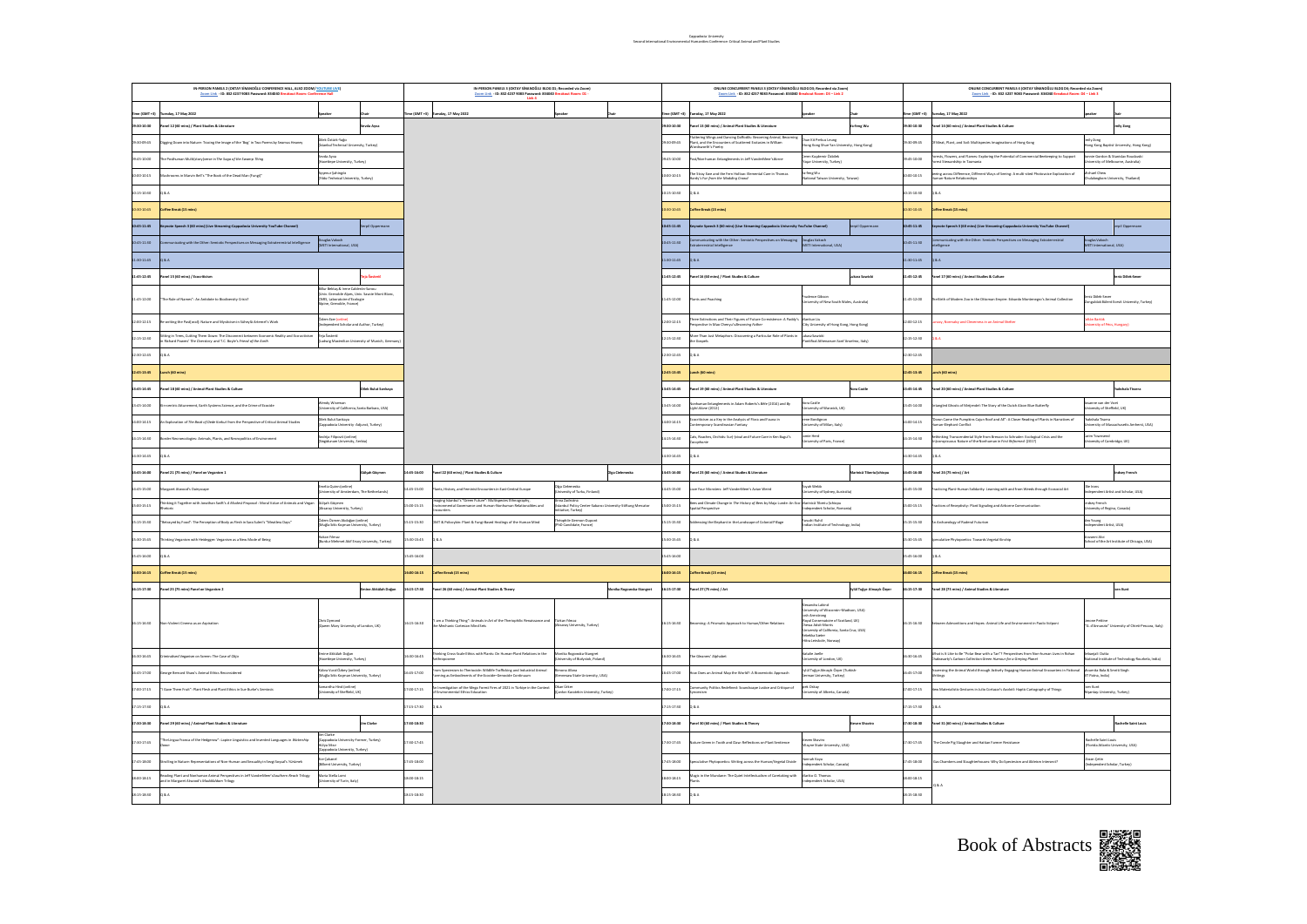| IN-PERSON PANELS 2 (OKTAY SINANOĞLU CONFERENCE HALL, ALSO ZOOM/ YOUTUBE LIVE)<br>Zoom Link - ID: 832 4237 9083 Password: 834040 Breakout Room: Confer |                                                                                                                                                             |                                                                                                                                               |              | IN-PERSON PANELS 3 (OKTAY SİNANOĞLU BLDG D1: Recorded via Zoom)<br>Zoom Link - ID: 832 4237 9083 Password: 834040 Breakout Room: D1 -         |                                                                                                  |                | ONLINE CONCURRENT PANELS 3 (OKTAY SİNANOĞLU BLDG D3: Recorded via Zoom)<br>Zoom Link - ID: 832 4237 9083 Password: 834040 Breakout Room: D3 - Link 2 | ONLINE CONCURRENT PANELS 4 (OKTAY SİNANOĞLU BLDG D4: Recorded via Zoom)<br>Zoom Link - ID: 832 4237 9083 Password: 834040 Breakout Room: D4 - Link 3                                                                                     |             |                                                                                                                                                             |                                                                       |                                                                           |
|-------------------------------------------------------------------------------------------------------------------------------------------------------|-------------------------------------------------------------------------------------------------------------------------------------------------------------|-----------------------------------------------------------------------------------------------------------------------------------------------|--------------|-----------------------------------------------------------------------------------------------------------------------------------------------|--------------------------------------------------------------------------------------------------|----------------|------------------------------------------------------------------------------------------------------------------------------------------------------|------------------------------------------------------------------------------------------------------------------------------------------------------------------------------------------------------------------------------------------|-------------|-------------------------------------------------------------------------------------------------------------------------------------------------------------|-----------------------------------------------------------------------|---------------------------------------------------------------------------|
| $Time (GMT + 3)$                                                                                                                                      | esday, 17 May 2022                                                                                                                                          |                                                                                                                                               |              | me (GMT +3) Tuesday, 17 May 2022                                                                                                              |                                                                                                  | e (GMT +3)     | sday, 17 May 2022                                                                                                                                    |                                                                                                                                                                                                                                          | me (GMT +3) | Luesday, 17 May 2022                                                                                                                                        |                                                                       |                                                                           |
| 02:01-02:00                                                                                                                                           | nel 12 (60 mins) / Plant Studies & Literature                                                                                                               | vda Ayva                                                                                                                                      |              |                                                                                                                                               |                                                                                                  | 02:01-02:0     | nel 13 (60 mins) / Animal-Plant Studies & Literature                                                                                                 | <b>feng Wu</b>                                                                                                                                                                                                                           | 02:01-02:0  | anel 14 (60 mins) / Animal-Plant Studies & Culture                                                                                                          |                                                                       | nily Zong                                                                 |
| 3009:45                                                                                                                                               | gging Down into Nature: Tracing the Image of the 'Bog' in Two Poems by Seamus Heaney                                                                        | ilek Öztürk-Yağcı<br>stanbul Technical University, Turkey)                                                                                    |              |                                                                                                                                               |                                                                                                  | 20-30-09-45    |                                                                                                                                                      |                                                                                                                                                                                                                                          | 0:30-09:45  | Meat, Plant, and Soil: Multispecies Imaginations of Hong Kong                                                                                               |                                                                       | long Kong Baptist University, Hong Kong)                                  |
| 9:45-10:00                                                                                                                                            | Posthuman Multi(story)verse in The Soga of the Swamp Thing                                                                                                  | vda Ayva<br>esity, Turkey)<br><b>Bepe Univ</b>                                                                                                |              |                                                                                                                                               |                                                                                                  | 0.45-10.00     | Mon-human Entanglements in Jeff VanderMeer's Borne                                                                                                   | .<br>Ceren Kuşdemir Özbilek<br>(Yaşar University, Turkey)                                                                                                                                                                                | 345-10:00   | lorests, Flowers, and Flames: Exploring the Potential of Commercial Beekeeping to Support<br>lorest Stewardship in Tasmania                                 |                                                                       | onnie Gordon & Stanislav Roudavski<br>Jniversity of Melbourne, Australia) |
| 000-10:15                                                                                                                                             | rooms in Marvin Bell's "The Book of the Dead Man (Fungi)"                                                                                                   | jenur Şəhingöz<br>dız Technical University, Turkey)                                                                                           |              |                                                                                                                                               |                                                                                                  | $0.00 - 10.15$ | Stray Ewe and the Fern Hollow: Elemental Care in Thomas<br>dy's Far from the Madding Crowd                                                           | Ya-feng Wu<br>(National Taiwan University, Taiwan)                                                                                                                                                                                       | 100-10:15   | ering across Difference, Different Ways of Seeing: A multi-sited Photovoice Exploration of<br>an-Nature Relationships                                       | chael Chew                                                            | <b><i><u>alalongkom</u></i></b> University, Thailand)                     |
| 0:15-10:30                                                                                                                                            | 8a                                                                                                                                                          |                                                                                                                                               |              |                                                                                                                                               |                                                                                                  | 0:15-10:30     | $\mathbf{a}$                                                                                                                                         |                                                                                                                                                                                                                                          | 2:15-10:30  |                                                                                                                                                             |                                                                       |                                                                           |
| 30-10:45                                                                                                                                              | offee Break (15 mins)                                                                                                                                       |                                                                                                                                               |              |                                                                                                                                               |                                                                                                  | 28.01-02.0     | ffee Break (15 mins)                                                                                                                                 |                                                                                                                                                                                                                                          | 230-10:45   | ffee Break (15 mins)                                                                                                                                        |                                                                       |                                                                           |
| 45-11:45                                                                                                                                              | cte Speech 3 (60 mins) (Live Streaming-Cappadocia University YouTube Channel)                                                                               |                                                                                                                                               |              |                                                                                                                                               |                                                                                                  | $-25 - 25$     | note Speech 3 (60 mins) (Live Streaming-Cappadocia University YouTube Channel)                                                                       |                                                                                                                                                                                                                                          | 345-11:45   | note Speech 3 (60 mins) (Live Streaming-Cappadocia University YouTube Channel)                                                                              |                                                                       | pil Oppe                                                                  |
| 045-11:30                                                                                                                                             | unicating with the Other: Semiotic Perspectives on Messaging Extraterrestrial Intelligence                                                                  | uglas Vakoch<br>ETI International, USA)                                                                                                       |              |                                                                                                                                               |                                                                                                  | 045-11:30      | -<br>municating with the Other: Semiotic Perspectives on Messaging Douglas Vakoch<br>derrestrial Intelligence                                        |                                                                                                                                                                                                                                          | 0.45-11:30  | unicating with the Other: Semiotic Perspectives on Messaging Extratementrial                                                                                | .<br>Douglas Vakoch<br>JMETI International, USA)                      |                                                                           |
| 1:30-11:45                                                                                                                                            | $84 -$                                                                                                                                                      |                                                                                                                                               |              |                                                                                                                                               |                                                                                                  | $1:30-11:45$   | 8.4.                                                                                                                                                 |                                                                                                                                                                                                                                          | 1:30-11:45  |                                                                                                                                                             |                                                                       |                                                                           |
| 1:45-12:45                                                                                                                                            | nel 15 (60 mins) / Ecocriticism                                                                                                                             |                                                                                                                                               |              |                                                                                                                                               |                                                                                                  | 1:45-12:45     | el 16 (60 mins) / Plant Studies & Culture                                                                                                            |                                                                                                                                                                                                                                          | 1:45-12:45  | nel 17 (60 mins) / Animal Studies & Culture                                                                                                                 |                                                                       | riz Dölek-Sever                                                           |
| 11:45-12:00                                                                                                                                           | The Rule of Names": An Antidote to Biodiversity Crisis?                                                                                                     | ur Bektaş & Irene Calderón-Sanou<br>Univ. Grenoble Alpes, Univ. Savoie Mont Blanc,<br>7615, Laboratoire d'Ecologie<br>tine, Grenoble, France) |              |                                                                                                                                               |                                                                                                  | 11:45-12:00    | ints and Poachine                                                                                                                                    | dence Gibson<br>(versity of New South Wales, Australia)                                                                                                                                                                                  | 1:45-12:00  | e Birth of Modern Zoo in the Ottoman Empire: Edvardo Montenearo's Animal Collection                                                                         | eniz Dölek-Sever                                                      | onauldak Bülent Ecevit University, Turkey)                                |
| 2:00-12:15                                                                                                                                            | niting the Past[oral]: Nature and Mysticism in Süheylä Artemel's Work                                                                                       | ziem Ezer <mark>(online)</mark><br>sdependent Scholar and Author, Turkey)                                                                     |              |                                                                                                                                               |                                                                                                  | $00 - 12 - 15$ | ree Extinctions and Their Figures of Future Co-existence: A Paddy's Markun Liu<br>rspective In Mao Chenyu's Becoming Fother                          |                                                                                                                                                                                                                                          | 2:00-12:15  | cy, Normalcy and Cleverness in an Animal Shelter                                                                                                            | oltán Bartók<br>Johersity of Pécs, Hungary)                           |                                                                           |
| 2:15-12:30                                                                                                                                            | ting in Trees, Cutting Them Down: The Disconnect between Economic Reality and Eco-acti<br>Nchard Powers' The Overstory and T.C. Boyle's Friend of the Earth | Sosterič<br>.<br>Jwig Maximilian University of Munich, Ge                                                                                     |              |                                                                                                                                               |                                                                                                  | 00-01-2019     | tre Than Just Metaphors: Discovering a Particular Role of Plants in                                                                                  | ukasz Sawicki<br>Pontifical Athenaeum Sant'Anselmo, Italy)                                                                                                                                                                               | 2:15-12:30  |                                                                                                                                                             |                                                                       |                                                                           |
| 2:30-12:45                                                                                                                                            | A A                                                                                                                                                         |                                                                                                                                               |              |                                                                                                                                               |                                                                                                  | 2:30-12:45     | 4.8                                                                                                                                                  |                                                                                                                                                                                                                                          | 2:30-12:45  |                                                                                                                                                             |                                                                       |                                                                           |
| 12:45-13:45                                                                                                                                           | nch (60 mins)                                                                                                                                               |                                                                                                                                               |              |                                                                                                                                               |                                                                                                  | 2:45-13:45     | ch (60 mins)                                                                                                                                         |                                                                                                                                                                                                                                          | 2:45-13:45  | ch (60 min)                                                                                                                                                 |                                                                       |                                                                           |
| 345-14:45                                                                                                                                             | nel 18 (60 mins) / Animal-Plant Studies & Culture                                                                                                           | ek Bulut Sarıkaya                                                                                                                             |              |                                                                                                                                               |                                                                                                  | 3:45-14:45     | el 19 (60 mins) / Animal-Plant Studies & Literature                                                                                                  |                                                                                                                                                                                                                                          | 3:45-14:45  | el 20 (60 mins) / Animal-Plant Studies & Culture                                                                                                            |                                                                       | shala Tisser                                                              |
| 13:45-14:00                                                                                                                                           | centric Attunement. Earth Systems Science, and the Crime of Ecocide                                                                                         | ndy Wiseman<br>sity of California, Santa Barbara, USA                                                                                         |              |                                                                                                                                               |                                                                                                  | 3:45-14:00     | rhuman Entanglements in Adam Roberts's <i>Bi</i> rte (2014) and <i>By</i><br>ht Alone (2012)                                                         | ra Castle<br>sity of Warwick. LIKI                                                                                                                                                                                                       | 3:45-14:00  | ingled Ghasts of Meijendel: The Story of the Dutch Alcon Blue Butterfly                                                                                     | inne van der Voet<br>rsity of Sheffield, UKI                          |                                                                           |
| 00-14:15                                                                                                                                              | Exploration of The Book of Dede Korkut from the Perspective of Critical Animal Studies                                                                      | <b>Slek Bulut Sankaya</b><br>sadocia University -Adjunct, Turkey)                                                                             |              |                                                                                                                                               |                                                                                                  | 4:00-14:15     | criticism as a Key in the Analysis of Flora and Fauna in<br>temporary Scandinavian Fantasy                                                           | ene Bordianon<br>iversity of Milan, Italy)                                                                                                                                                                                               | 400-14:15   | wn Carne the Pumpkins Cajun Roof and All": A Closer Reading of Plants in Narratives of<br>un-Elephant Conflict                                              | steatil sladded                                                       | versity of Massachusetts Amherst, USA)                                    |
| 415-14:30                                                                                                                                             | rder Necroecologies: Animals, Plants, and Necropolitics of Environment                                                                                      | ıdrija Filipović (online)<br>İngidunum University, Serbia)                                                                                    |              |                                                                                                                                               |                                                                                                  | 415-14-90      | ts, Roaches, Orchids: Sur(-)vival and Future Care in Ken Bugul's                                                                                     | lamie Herd<br>iversity of Paris, France)                                                                                                                                                                                                 | 4151430     | inking Transcendental Style from Bresson to Schrader: Ecological Crisis and the<br>onspicuous Nature of the Nonhuman in First Arformed (2017)               | Sarim Townsend<br>versity of Cambridge, UK)                           |                                                                           |
| 4:30-14:45                                                                                                                                            | 84                                                                                                                                                          |                                                                                                                                               |              |                                                                                                                                               |                                                                                                  | 4:30-14:45     | 4.8                                                                                                                                                  |                                                                                                                                                                                                                                          | 430-14:45   |                                                                                                                                                             |                                                                       |                                                                           |
| 14:45-16:00                                                                                                                                           | luh Göcmen<br>anel 21 (75 mins) / Panel on Veganism 1                                                                                                       |                                                                                                                                               | 4:45-16:00   | Panel 22 (60 mins) / Plant Studies & Culture                                                                                                  | .<br>Nea Cielemecka                                                                              | 14:45-16:00    | nel 23 (60 mins) / Animal Studies & Literature                                                                                                       | rinică Tiberiu Schiopu                                                                                                                                                                                                                   | 14:45-16:00 | anel 24 (75 mins) / Art                                                                                                                                     |                                                                       | diew French                                                               |
| 4:45-15:00                                                                                                                                            | manet Atwood's Dairyscape                                                                                                                                   | elia Quinn (online<br>versity of Amsterdam. The Netherlands)                                                                                  | 1:45-15:00   | nts. History, and Feminist Encounters in East-Central Europe                                                                                  | iga Cielemecka<br>Iniversity of Turku, Finland)                                                  | 4:45-15:00     | e Your Monsters: Jeff VanderMeer's Avian Weird                                                                                                       | oyah Webb<br>iversity of Sydney, Australia)                                                                                                                                                                                              | 4:45-15:00  | ticing Plant-Human Solidarity: Learning with and from Weeds through Ecosocial Art                                                                           |                                                                       | :<br>lindependent Artist and Scholar, USA)                                |
| 500-15:15                                                                                                                                             | inking it Together with Jonathan Swift's A Modest Proposol : Moral Value of Animals and Vegan                                                               | Júlsah Göçmen<br><b>Janax University, Turkey)</b>                                                                                             | 5:00-15:15   | imaging Istanbul's "Green Future": Multispecies Ethnography,<br>Environmental Governance and Human-Nonhuman Relationalities and<br>Encounters | inna Zadroana<br>itimbul Policy Center-Sabancı University-Stiftung Mercator<br>itiative, Turkey) | 15:00-15:15    | s and Climate Change in The History of Bres by Maja Lunde: An Eco-Marinica Tiberiu Schiopu<br>tial Perspective                                       | dependent Scholar, Romanial                                                                                                                                                                                                              | 5:00-15:15  | ctices of Receptivity: Plant Signaling and Airborne Communication                                                                                           | ndsey French<br>versity of Regina, Canada)                            |                                                                           |
| 15:15:15:30                                                                                                                                           | etrayed by Food": The Perception of Body as Flesh in Sara Suleri's "Meatless Days                                                                           | zlem Özmen Akdoğan (online)<br>Auğla Sıtkı Koçman University, Turkey)                                                                         | 5:15:15:30   | DMT & Psilocybin: Plant & Fungi-Based Healings of the Human Mind                                                                              | héophile German-Dupan<br><b>ND Candidate</b> , Francell                                          | 5:15-15:30     | essing the Elephant in the Landscape of Colonial Pillage                                                                                             | lifud irlans<br>dian Institute of Technology, India)                                                                                                                                                                                     | 5:15-15:30  | Archaeology of Ruderal Futurism                                                                                                                             | .<br>Independent Artist, USA)                                         |                                                                           |
| 15:30-15:45                                                                                                                                           | inking Veganism with Heidegger: Veganism as a New Mode of Being                                                                                             | kan Yılmaz<br>Jırdur Mehmet Akif Ersoy University, Turkey)                                                                                    | 5:30-15:45   | <b>O&amp;A</b>                                                                                                                                |                                                                                                  | 5:30-15:45     | ŝ A                                                                                                                                                  |                                                                                                                                                                                                                                          | 5:30-15:45  | iola innevoi<br>ulative Phytopoetics: Towards Vegetal Kinship<br>ool of the Art Institute of Chicago, USA)                                                  |                                                                       |                                                                           |
| 15:45-16:00                                                                                                                                           | AA                                                                                                                                                          |                                                                                                                                               | 5:45-16:00   |                                                                                                                                               |                                                                                                  |                |                                                                                                                                                      |                                                                                                                                                                                                                                          |             | A & C                                                                                                                                                       |                                                                       |                                                                           |
| 16:00-16:15                                                                                                                                           | Coffee Break (15 mins)                                                                                                                                      |                                                                                                                                               | 41-31-00-35  | Coffee Break (15 mins)                                                                                                                        |                                                                                                  |                | ffee Break (15 mins)                                                                                                                                 |                                                                                                                                                                                                                                          |             | offee Break (15 mins)                                                                                                                                       |                                                                       |                                                                           |
| 16:15-17:30                                                                                                                                           | Panel 25 (75 mins) Panel on Veganism 2                                                                                                                      | ine Akkülah Doğan                                                                                                                             | 16:15-17:30  | Panel 26 (60 mins) / Animal-Plant Studies & Theory                                                                                            | lonika Rosowska-Staneret                                                                         | 16:15-17:30    | unel 27 (75 mins) / Art                                                                                                                              | <b>Eylül Tuğçe Almaçık Özyer</b>                                                                                                                                                                                                         | 16:15-17:30 | anel 28 (75 mins) / Animal Studies & Literature                                                                                                             |                                                                       | in Kunt                                                                   |
| 16:15-16:30                                                                                                                                           | ton-Violent Cinema as an Aspiration                                                                                                                         | tris Dymond<br>ueen Mary University of London, UK)                                                                                            | 16:15-16:30  | "I am a Thirking Thing": Animals in Art of the Theriophilic Renaissance and<br>the Mechanic Cartesian Mind Sets                               | fürkan Yılmaz<br>(Aksaray University, Turkey)                                                    | 16:15-16:30    | oming: A Prismatic Approach to Human/Other Relations                                                                                                 | andra Lakind<br>niversity of Wisconsin-Madison, USA)<br>ih Armstrong<br>Royal Conservatoire of Scotland, UK)<br>Chessa Adsit-Morris<br>University<br>hiversity of California, Santa Cruz, USA)<br>bekka Sæter<br>itra Leinskole, Norway) | 16:15-16:30 | ween Admonitions and Hopes: Animal Life and Environment in Paolo Volponi                                                                                    |                                                                       | "G. d'Annunzio" University of Chieti-Pescara, Italy)                      |
| 16:30-16:45                                                                                                                                           | nalised Veganism on Screen: The Case of Okja                                                                                                                | ine Akkülah Doğan<br>Icettepe University, Turkey)                                                                                             | 630-1645     | Thinking Cross-Scale Ethics with Plants: On Human-Plant Relations in the                                                                      | vika Rogowska-Stangret<br>versity of Białystok, Poland)                                          | 30-16:45       | Gleaners' Alphabet                                                                                                                                   | silsot silst<br>siversity of London, UK)                                                                                                                                                                                                 | 5:30-16:45  | What is it Like to Be "Polar Bear with a Tan"? Perspectives from Non-human Lives in Rohan<br>rawarty's Cartoon Collection Green Humour for a Greying Planet | anjali Dutta                                                          | onal Institute of Technology Rourkela, India)                             |
| 645-17:00                                                                                                                                             | orge Bernard Shaw's Animal Ethics Reconsidered                                                                                                              | .<br>bra Vural Özbey (orline)<br>luğla Sıtkı Koçman University, Turkey)                                                                       | 145-17:00    | .<br>Irom Speciesism to Theriocide: Wildlife Trafficking and Industrial Animal<br>Iarming as Embodiments of the Ecocide-Genocide Continuum    | iona Afana<br>nnesaw State University, USA)                                                      | 45-17:00       | Does an Animal Map the World?: A Biosemiotic Approach                                                                                                | .<br>Eylül Tuğçe Almaçık Özyer (Turkish-                                                                                                                                                                                                 | 6:45-17:00  | ersing the Animal World through Actively Engaging Human-Animal Encounters in Fictional                                                                      | Moumita Bala & Smriti Singh<br>JIT Patna, India)                      |                                                                           |
| 00-17:15                                                                                                                                              | .<br>Save Them Fruit": Plant Flesh and Plant Ethics in Sue Burke's Semiosi                                                                                  | intha Hind (celline)<br>enity of Sheffield, UK)                                                                                               | 1:00-17:15   | Investigation of the Mega Forest Fires of 2021 in Türkiye in the Context<br>Invironmental Ethics Education                                    | )kan Ürker<br>Çankın Karatekin University, Turkey)                                               | $7:00 - 17:15$ | munity Politics Redefined: Soundscape Justice and Critique of                                                                                        | lpek Oskay<br>(University of Alberta, Canada)                                                                                                                                                                                            | 7:00-17:15  | <b>Anterialistic Gestures in Julio Cortazar's Avoloti: Haptic Cartography of Things</b>                                                                     | .<br> Nişantaşı University, Turkey)<br> Nişantaşı University, Turkey) |                                                                           |
| 15-17:30                                                                                                                                              |                                                                                                                                                             |                                                                                                                                               | $7:15-17:30$ | Q&A                                                                                                                                           |                                                                                                  | $15 - 17 - 30$ |                                                                                                                                                      |                                                                                                                                                                                                                                          | 115-17:30   |                                                                                                                                                             |                                                                       |                                                                           |
| 7:30-18:30                                                                                                                                            | nel 29 (60 mins) / Animal-Plant Studies & Literature                                                                                                        | .<br>Clarke                                                                                                                                   | 17:30-18:30  |                                                                                                                                               |                                                                                                  | 30-18:30       | el 30 (60 mins) / Plant Studies & Theory                                                                                                             | en Shaviro                                                                                                                                                                                                                               | 7:30-18:30  | nel 31 (60 mins) / Animal Studies & Culture                                                                                                                 |                                                                       | achelle Saint Loui                                                        |
| 30-17-45                                                                                                                                              | Lingua Franca of the Hedgerow": Lapine Linguistics and Invented Languages in Wotership                                                                      | <b>docia University-Former, Turkey)</b><br>ra Misr<br>rsity, Turkey)                                                                          | 1:30-17:45   |                                                                                                                                               |                                                                                                  | 7:30-17:45     | re Green in Tooth and Claw: Reflections on Plant Sentience                                                                                           | ven Shaviro<br>ayne State University, USA)                                                                                                                                                                                               | 30-17-45    | Creole Pig Slaughter and Haltian Farmer Resistance                                                                                                          | chelle Saint Louis                                                    | Florida Atlantic University, USA)                                         |
| 45-18:00                                                                                                                                              | ing in Nature: Representations of Non-Human and Sexuality in Sevgi Soysal's Yürümek                                                                         | :e Çakanel<br>illoent University, Turkey)                                                                                                     | 1:45-18:00   |                                                                                                                                               |                                                                                                  | 7:45-18:00     | ulative Phytopoetics: Writing across the Human/Vegetal Divide                                                                                        | nnah Kaya<br>dependent Scholar, Canada)                                                                                                                                                                                                  | 7:45-18:00  | s Chambers and Slaughterhouses: Why Do Speciesism and Ableism Intersect?                                                                                    | Zozan Çetin<br>(Independent Scholar, Turkey)                          |                                                                           |
| 18:00-18:15                                                                                                                                           | ieading Plant and Nonhuman Animal Perspectives in Jeff VanderMeer'sSouthern Reoch Trilogy<br>nd in Margaret Atwood's ModdAddom Trilogy                      | taria Stella Lorni<br>Jniversity of Turin, Italy)                                                                                             | 100-18:15    |                                                                                                                                               |                                                                                                  | $00 - 18 - 15$ | agic in the Mundane: The Quiet Intellectualism of Caretaking with                                                                                    | Mariko O. Thomas<br>(Independent Scholar, USA)                                                                                                                                                                                           | 100-18:15   |                                                                                                                                                             |                                                                       |                                                                           |
| 18:15-18:30                                                                                                                                           | Q&A                                                                                                                                                         |                                                                                                                                               | 8:15-18:30   |                                                                                                                                               |                                                                                                  | 18:15-18:30    | <b>A&amp;</b>                                                                                                                                        |                                                                                                                                                                                                                                          | 8:15-18:30  |                                                                                                                                                             |                                                                       |                                                                           |